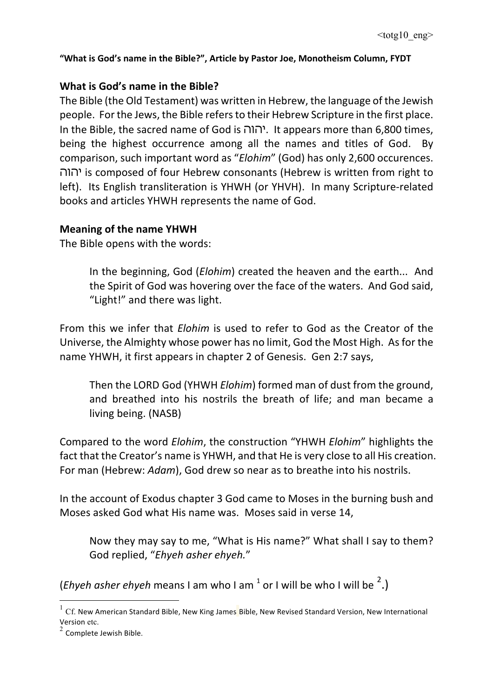# **What is God's name in the Bible?**

The Bible (the Old Testament) was written in Hebrew, the language of the Jewish people. For the Jews, the Bible refers to their Hebrew Scripture in the first place. In the Bible, the sacred name of God is יהוה. It appears more than 6,800 times, being the highest occurrence among all the names and titles of God. By comparison, such important word as "*Elohim*" (God) has only 2,600 occurences. יהוה is composed of four Hebrew consonants (Hebrew is written from right to left). Its English transliteration is YHWH (or YHVH). In many Scripture-related books and articles YHWH represents the name of God.

# **Meaning of the name YHWH**

The Bible opens with the words:

In the beginning, God (*Elohim*) created the heaven and the earth... And the Spirit of God was hovering over the face of the waters. And God said, "Light!" and there was light.

From this we infer that *Elohim* is used to refer to God as the Creator of the Universe, the Almighty whose power has no limit, God the Most High. As for the name YHWH, it first appears in chapter 2 of Genesis. Gen 2:7 says,

Then the LORD God (YHWH *Elohim*) formed man of dust from the ground, and breathed into his nostrils the breath of life; and man became a living being. (NASB)

Compared to the word *Elohim*, the construction "YHWH *Elohim*" highlights the fact that the Creator's name is YHWH, and that He is very close to all His creation. For man (Hebrew: Adam), God drew so near as to breathe into his nostrils.

In the account of Exodus chapter 3 God came to Moses in the burning bush and Moses asked God what His name was. Moses said in verse 14,

Now they may say to me, "What is His name?" What shall I say to them? God replied, "Ehyeh asher ehyeh."

(*Ehyeh asher ehyeh* means I am who I am  $^1$  or I will be who I will be  $^2$ .)

 $1 \text{ Cf.}$  New American Standard Bible, New King James Bible, New Revised Standard Version, New International Version etc.

 $2$  Complete Jewish Bible.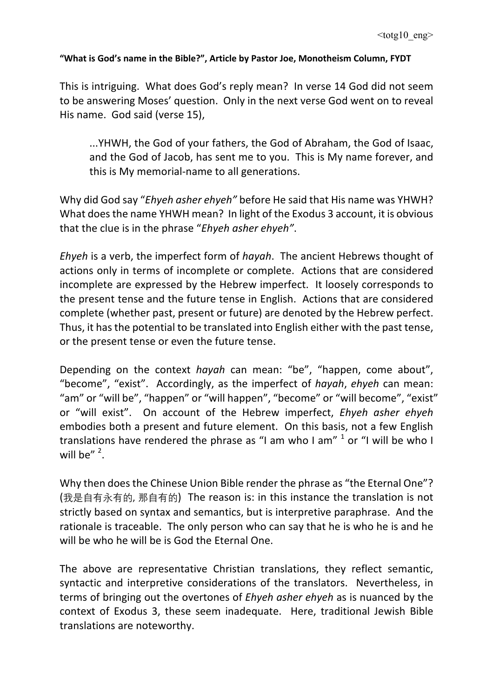This is intriguing. What does God's reply mean? In verse 14 God did not seem to be answering Moses' question. Only in the next verse God went on to reveal His name. God said (verse 15),

...YHWH, the God of your fathers, the God of Abraham, the God of Isaac, and the God of Jacob, has sent me to you. This is My name forever, and this is My memorial-name to all generations.

Why did God say "*Ehyeh asher ehyeh*" before He said that His name was YHWH? What does the name YHWH mean? In light of the Exodus 3 account, it is obvious that the clue is in the phrase "*Ehyeh asher ehyeh"*.

*Ehyeh* is a verb, the imperfect form of *hayah*. The ancient Hebrews thought of actions only in terms of incomplete or complete. Actions that are considered incomplete are expressed by the Hebrew imperfect. It loosely corresponds to the present tense and the future tense in English. Actions that are considered complete (whether past, present or future) are denoted by the Hebrew perfect. Thus, it has the potential to be translated into English either with the past tense, or the present tense or even the future tense.

Depending on the context *hayah* can mean: "be", "happen, come about", "become", "exist". Accordingly, as the imperfect of *hayah*, *ehyeh* can mean: "am" or "will be", "happen" or "will happen", "become" or "will become", "exist" or "will exist". On account of the Hebrew imperfect, *Ehyeh asher ehyeh* embodies both a present and future element. On this basis, not a few English translations have rendered the phrase as "I am who I am"  $1$  or "I will be who I will be"  $2$ .

Why then does the Chinese Union Bible render the phrase as "the Eternal One"? (我是自有永有的, 那自有的) The reason is: in this instance the translation is not strictly based on syntax and semantics, but is interpretive paraphrase. And the rationale is traceable. The only person who can say that he is who he is and he will be who he will be is God the Eternal One.

The above are representative Christian translations, they reflect semantic, syntactic and interpretive considerations of the translators. Nevertheless, in terms of bringing out the overtones of *Ehyeh asher ehyeh* as is nuanced by the context of Exodus 3, these seem inadequate. Here, traditional Jewish Bible translations are noteworthy.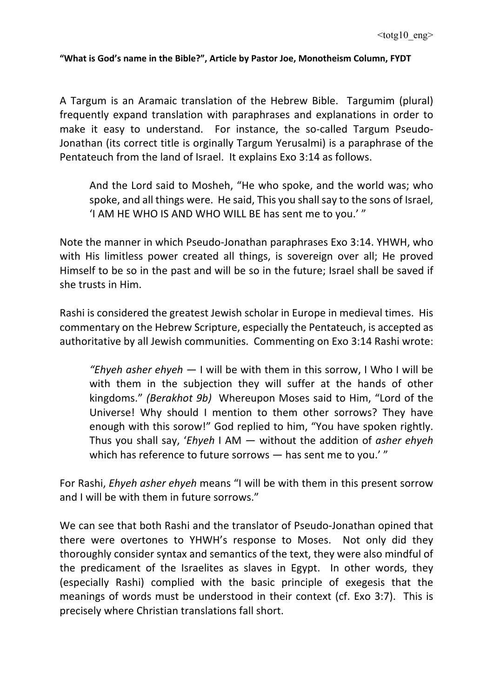A Targum is an Aramaic translation of the Hebrew Bible. Targumim (plural) frequently expand translation with paraphrases and explanations in order to make it easy to understand. For instance, the so-called Targum Pseudo-Jonathan (its correct title is orginally Targum Yerusalmi) is a paraphrase of the Pentateuch from the land of Israel. It explains Exo 3:14 as follows.

And the Lord said to Mosheh, "He who spoke, and the world was; who spoke, and all things were. He said, This you shall say to the sons of Israel, 'I AM HE WHO IS AND WHO WILL BE has sent me to you.'"

Note the manner in which Pseudo-Jonathan paraphrases Exo 3:14. YHWH, who with His limitless power created all things, is sovereign over all; He proved Himself to be so in the past and will be so in the future; Israel shall be saved if she trusts in Him.

Rashi is considered the greatest Jewish scholar in Europe in medieval times. His commentary on the Hebrew Scripture, especially the Pentateuch, is accepted as authoritative by all Jewish communities. Commenting on Exo 3:14 Rashi wrote:

*"Ehyeh asher ehyeh* — I will be with them in this sorrow, I Who I will be with them in the subjection they will suffer at the hands of other kingdoms." *(Berakhot 9b)* Whereupon Moses said to Him, "Lord of the Universe! Why should I mention to them other sorrows? They have enough with this sorow!" God replied to him, "You have spoken rightly. Thus you shall say, '*Ehyeh* I AM — without the addition of *asher ehyeh* which has reference to future sorrows  $-$  has sent me to you.'"

For Rashi, *Ehyeh asher ehyeh* means "I will be with them in this present sorrow and I will be with them in future sorrows."

We can see that both Rashi and the translator of Pseudo-Jonathan opined that there were overtones to YHWH's response to Moses. Not only did they thoroughly consider syntax and semantics of the text, they were also mindful of the predicament of the Israelites as slaves in Egypt. In other words, they (especially Rashi) complied with the basic principle of exegesis that the meanings of words must be understood in their context (cf. Exo 3:7). This is precisely where Christian translations fall short.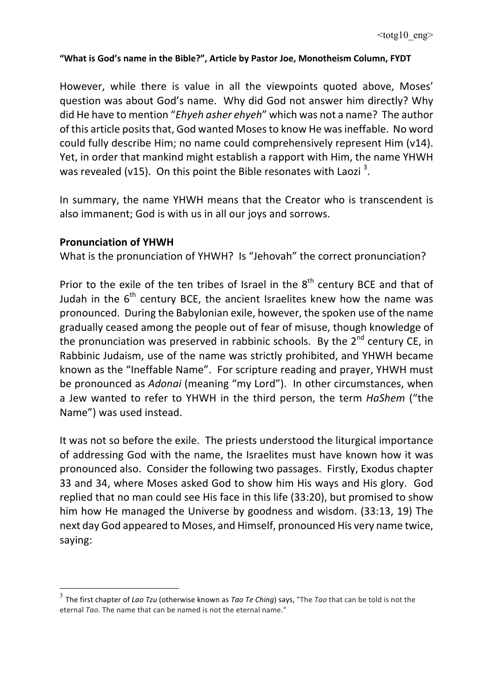However, while there is value in all the viewpoints quoted above, Moses' question was about God's name. Why did God not answer him directly? Why did He have to mention "*Ehyeh asher ehyeh*" which was not a name? The author of this article posits that, God wanted Moses to know He was ineffable. No word could fully describe Him; no name could comprehensively represent Him (v14). Yet, in order that mankind might establish a rapport with Him, the name YHWH was revealed (v15). On this point the Bible resonates with Laozi<sup>3</sup>.

In summary, the name YHWH means that the Creator who is transcendent is also immanent; God is with us in all our joys and sorrows.

### **Pronunciation of YHWH**

What is the pronunciation of YHWH? Is "Jehovah" the correct pronunciation?

Prior to the exile of the ten tribes of Israel in the  $8<sup>th</sup>$  century BCE and that of Judah in the  $6^{th}$  century BCE, the ancient Israelites knew how the name was pronounced. During the Babylonian exile, however, the spoken use of the name gradually ceased among the people out of fear of misuse, though knowledge of the pronunciation was preserved in rabbinic schools. By the  $2^{nd}$  century CE, in Rabbinic Judaism, use of the name was strictly prohibited, and YHWH became known as the "Ineffable Name". For scripture reading and prayer, YHWH must be pronounced as *Adonai* (meaning "my Lord"). In other circumstances, when a Jew wanted to refer to YHWH in the third person, the term *HaShem* ("the Name") was used instead.

It was not so before the exile. The priests understood the liturgical importance of addressing God with the name, the Israelites must have known how it was pronounced also. Consider the following two passages. Firstly, Exodus chapter 33 and 34, where Moses asked God to show him His ways and His glory. God replied that no man could see His face in this life (33:20), but promised to show him how He managed the Universe by goodness and wisdom. (33:13, 19) The next day God appeared to Moses, and Himself, pronounced His very name twice, saying:

<sup>&</sup>lt;sup>3</sup> The first chapter of *Lao Tzu* (otherwise known as *Tao Te Ching*) says, "The *Tao* that can be told is not the eternal *Tgo*. The name that can be named is not the eternal name."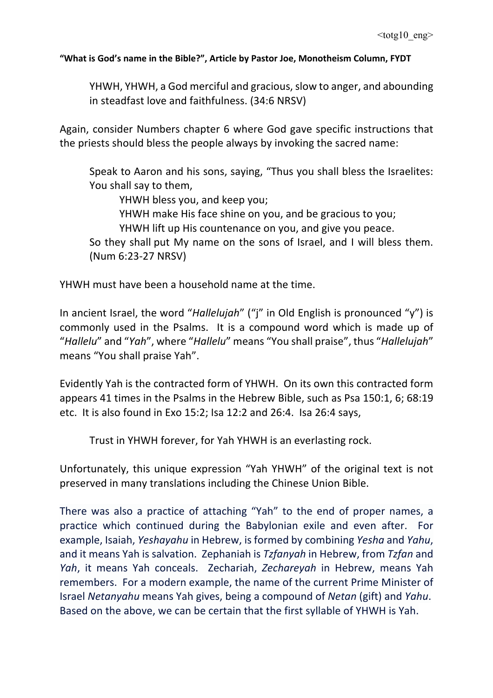YHWH, YHWH, a God merciful and gracious, slow to anger, and abounding in steadfast love and faithfulness. (34:6 NRSV)

Again, consider Numbers chapter 6 where God gave specific instructions that the priests should bless the people always by invoking the sacred name:

Speak to Aaron and his sons, saying, "Thus you shall bless the Israelites: You shall say to them,

YHWH bless you, and keep you:

YHWH make His face shine on you, and be gracious to you;

YHWH lift up His countenance on you, and give you peace.

So they shall put My name on the sons of Israel, and I will bless them. (Num 6:23-27 NRSV)

YHWH must have been a household name at the time.

In ancient Israel, the word "*Hallelujah*" ("j" in Old English is pronounced "y") is commonly used in the Psalms. It is a compound word which is made up of "*Hallelu*" and "*Yah*", where "*Hallelu*" means "You shall praise", thus "*Hallelujah*" means "You shall praise Yah".

Evidently Yah is the contracted form of YHWH. On its own this contracted form appears 41 times in the Psalms in the Hebrew Bible, such as Psa 150:1, 6; 68:19 etc. It is also found in Exo 15:2; Isa 12:2 and 26:4. Isa 26:4 says,

Trust in YHWH forever, for Yah YHWH is an everlasting rock.

Unfortunately, this unique expression "Yah YHWH" of the original text is not preserved in many translations including the Chinese Union Bible.

There was also a practice of attaching "Yah" to the end of proper names, a practice which continued during the Babylonian exile and even after. For example, Isaiah, *Yeshayahu* in Hebrew, is formed by combining *Yesha* and *Yahu*, and it means Yah is salvation. Zephaniah is *Tzfanyah* in Hebrew, from *Tzfan* and *Yah*, it means Yah conceals. Zechariah, *Zechareyah* in Hebrew, means Yah remembers. For a modern example, the name of the current Prime Minister of Israel *Netanyahu* means Yah gives, being a compound of *Netan* (gift) and *Yahu*. Based on the above, we can be certain that the first syllable of YHWH is Yah.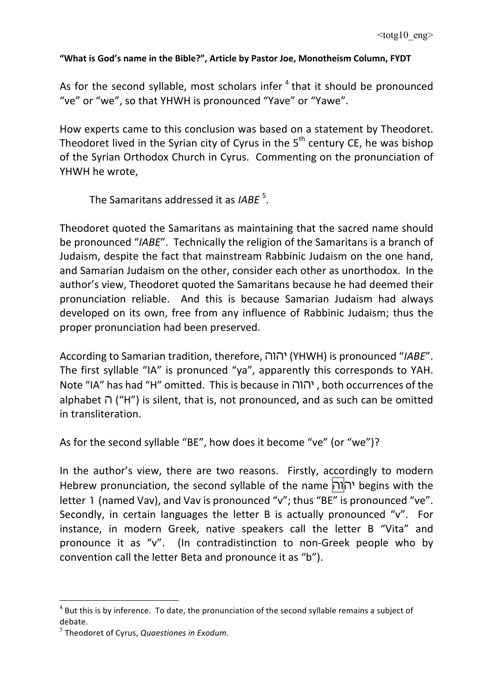As for the second syllable, most scholars infer  $4$  that it should be pronounced "ve" or "we", so that YHWH is pronounced "Yave" or "Yawe".

How experts came to this conclusion was based on a statement by Theodoret. Theodoret lived in the Syrian city of Cyrus in the  $5<sup>th</sup>$  century CE, he was bishop of the Syrian Orthodox Church in Cyrus. Commenting on the pronunciation of YHWH he wrote,

The Samaritans addressed it as *IABE* <sup>5</sup>.

Theodoret quoted the Samaritans as maintaining that the sacred name should be pronounced "*IABE*". Technically the religion of the Samaritans is a branch of Judaism, despite the fact that mainstream Rabbinic Judaism on the one hand, and Samarian Judaism on the other, consider each other as unorthodox. In the author's view, Theodoret quoted the Samaritans because he had deemed their pronunciation reliable. And this is because Samarian Judaism had always developed on its own, free from any influence of Rabbinic Judaism; thus the proper pronunciation had been preserved.

According to Samarian tradition, therefore, יהוה) YHWH) is pronounced "*IABE*". The first syllable "IA" is pronunced "ya", apparently this corresponds to YAH. Note "IA" has had "H" omitted. This is because in יהוה, both occurrences of the alphabet  $\cap$  ("H") is silent, that is, not pronounced, and as such can be omitted in transliteration.

As for the second syllable "BE", how does it become "ve" (or "we")?

In the author's view, there are two reasons. Firstly, accordingly to modern Hebrew pronunciation, the second syllable of the name יהוה begins with the letter 1 (named Vav), and Vav is pronounced "v"; thus "BE" is pronounced "ve". Secondly, in certain languages the letter B is actually pronounced "v". For instance, in modern Greek, native speakers call the letter B "Vita" and pronounce it as "v". (In contradistinction to non-Greek people who by convention call the letter Beta and pronounce it as "b").

 $\overline{a}$ 

 $4$  But this is by inference. To date, the pronunciation of the second syllable remains a subject of debate. 

 $<sup>5</sup>$  Theodoret of Cyrus, *Quaestiones in Exodum*.</sup>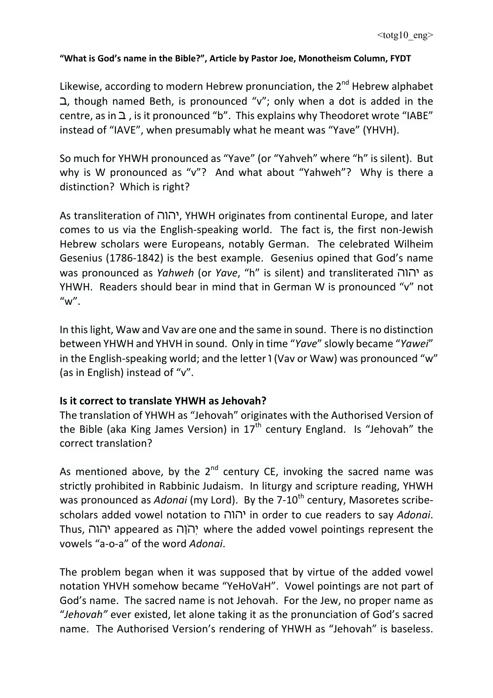Likewise, according to modern Hebrew pronunciation, the  $2^{nd}$  Hebrew alphabet  $\Delta$ , though named Beth, is pronounced "v"; only when a dot is added in the centre, as in  $\Delta$ , is it pronounced "b". This explains why Theodoret wrote "IABE" instead of "IAVE", when presumably what he meant was "Yave" (YHVH).

So much for YHWH pronounced as "Yave" (or "Yahveh" where "h" is silent). But why is W pronounced as "v"? And what about "Yahweh"? Why is there a distinction? Which is right?

As transliteration of יהוה, YHWH originates from continental Europe, and later comes to us via the English-speaking world. The fact is, the first non-Jewish Hebrew scholars were Europeans, notably German. The celebrated Wilheim Gesenius (1786-1842) is the best example. Gesenius opined that God's name was pronounced as *Yahweh* (or *Yave*, "h" is silent) and transliterated יהוה as YHWH. Readers should bear in mind that in German W is pronounced "v" not  $''w''$ .

In this light, Waw and Vav are one and the same in sound. There is no distinction between YHWH and YHVH in sound. Only in time "Yave" slowly became "Yawei" in the English-speaking world; and the letter  $\frac{1}{1}$  (Vav or Waw) was pronounced "w" (as in English) instead of "v".

# **Is it correct to translate YHWH as Jehovah?**

The translation of YHWH as "Jehovah" originates with the Authorised Version of the Bible (aka King James Version) in  $17<sup>th</sup>$  century England. Is "Jehovah" the correct translation?

As mentioned above, by the  $2^{nd}$  century CE, invoking the sacred name was strictly prohibited in Rabbinic Judaism. In liturgy and scripture reading, YHWH was pronounced as *Adonai* (my Lord). By the 7-10<sup>th</sup> century, Masoretes scribescholars added vowel notation to יהוה in order to cue readers to say *Adonai*. Thus, יהוה appeared as יְהוֹה where the added vowel pointings represent the vowels "a-o-a" of the word *Adonai*.

The problem began when it was supposed that by virtue of the added vowel notation YHVH somehow became "YeHoVaH". Vowel pointings are not part of God's name. The sacred name is not Jehovah. For the Jew, no proper name as "Jehovah" ever existed, let alone taking it as the pronunciation of God's sacred name. The Authorised Version's rendering of YHWH as "Jehovah" is baseless.